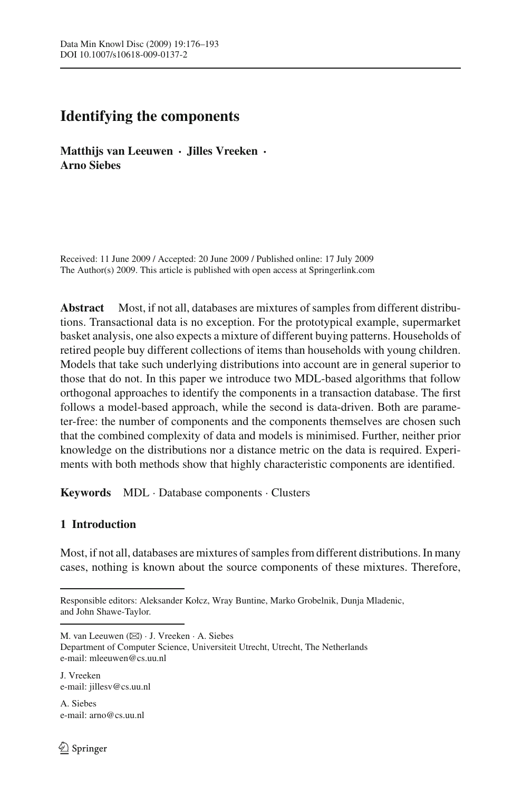# **Identifying the components**

**Matthijs van Leeuwen · Jilles Vreeken · Arno Siebes**

Received: 11 June 2009 / Accepted: 20 June 2009 / Published online: 17 July 2009 The Author(s) 2009. This article is published with open access at Springerlink.com

**Abstract** Most, if not all, databases are mixtures of samples from different distributions. Transactional data is no exception. For the prototypical example, supermarket basket analysis, one also expects a mixture of different buying patterns. Households of retired people buy different collections of items than households with young children. Models that take such underlying distributions into account are in general superior to those that do not. In this paper we introduce two MDL-based algorithms that follow orthogonal approaches to identify the components in a transaction database. The first follows a model-based approach, while the second is data-driven. Both are parameter-free: the number of components and the components themselves are chosen such that the combined complexity of data and models is minimised. Further, neither prior knowledge on the distributions nor a distance metric on the data is required. Experiments with both methods show that highly characteristic components are identified.

**Keywords** MDL · Database components · Clusters

# **1 Introduction**

Most, if not all, databases are mixtures of samples from different distributions. In many cases, nothing is known about the source components of these mixtures. Therefore,

J. Vreeken e-mail: jillesv@cs.uu.nl

A. Siebes e-mail: arno@cs.uu.nl

Responsible editors: Aleksander Kołcz, Wray Buntine, Marko Grobelnik, Dunja Mladenic, and John Shawe-Taylor.

M. van Leeuwen (B) · J. Vreeken · A. Siebes

Department of Computer Science, Universiteit Utrecht, Utrecht, The Netherlands e-mail: mleeuwen@cs.uu.nl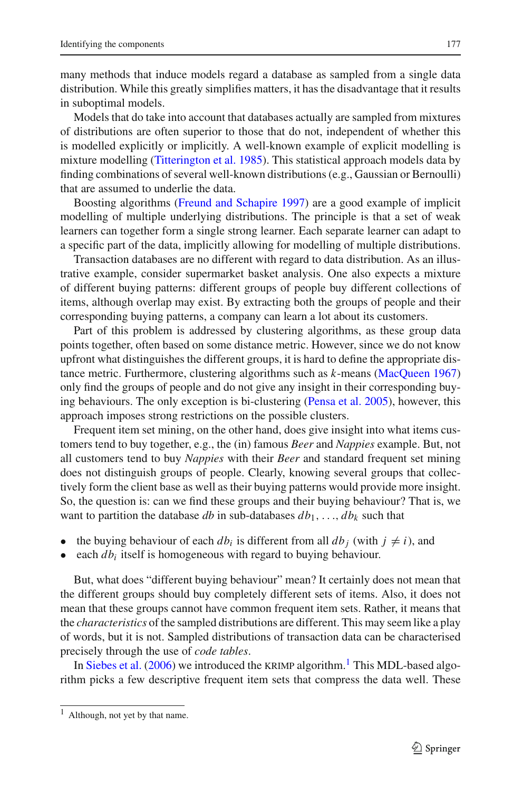many methods that induce models regard a database as sampled from a single data distribution. While this greatly simplifies matters, it has the disadvantage that it results in suboptimal models.

Models that do take into account that databases actually are sampled from mixtures of distributions are often superior to those that do not, independent of whether this is modelled explicitly or implicitly. A well-known example of explicit modelling is mixture modelling [\(Titterington et al. 1985](#page-17-0)). This statistical approach models data by finding combinations of several well-known distributions (e.g., Gaussian or Bernoulli) that are assumed to underlie the data.

Boosting algorithms [\(Freund and Schapire 1997\)](#page-16-0) are a good example of implicit modelling of multiple underlying distributions. The principle is that a set of weak learners can together form a single strong learner. Each separate learner can adapt to a specific part of the data, implicitly allowing for modelling of multiple distributions.

Transaction databases are no different with regard to data distribution. As an illustrative example, consider supermarket basket analysis. One also expects a mixture of different buying patterns: different groups of people buy different collections of items, although overlap may exist. By extracting both the groups of people and their corresponding buying patterns, a company can learn a lot about its customers.

Part of this problem is addressed by clustering algorithms, as these group data points together, often based on some distance metric. However, since we do not know upfront what distinguishes the different groups, it is hard to define the appropriate distance metric. Furthermore, clustering algorithms such as *k*-means [\(MacQueen 1967\)](#page-17-1) only find the groups of people and do not give any insight in their corresponding buying behaviours. The only exception is bi-clustering [\(Pensa et al. 2005](#page-17-2)), however, this approach imposes strong restrictions on the possible clusters.

Frequent item set mining, on the other hand, does give insight into what items customers tend to buy together, e.g., the (in) famous *Beer* and *Nappies* example. But, not all customers tend to buy *Nappies* with their *Beer* and standard frequent set mining does not distinguish groups of people. Clearly, knowing several groups that collectively form the client base as well as their buying patterns would provide more insight. So, the question is: can we find these groups and their buying behaviour? That is, we want to partition the database *db* in sub-databases  $db_1, \ldots, db_k$  such that

- the buying behaviour of each  $db_i$  is different from all  $db_j$  (with  $j \neq i$ ), and
- each  $db_i$  itself is homogeneous with regard to buying behaviour.

But, what does "different buying behaviour" mean? It certainly does not mean that the different groups should buy completely different sets of items. Also, it does not mean that these groups cannot have common frequent item sets. Rather, it means that the *characteristics* of the sampled distributions are different. This may seem like a play of words, but it is not. Sampled distributions of transaction data can be characterised precisely through the use of *code tables*.

In [Siebes et al.](#page-17-3) [\(2006\)](#page-17-3) we introduced the KRIMP algorithm.<sup>[1](#page-1-0)</sup> This MDL-based algorithm picks a few descriptive frequent item sets that compress the data well. These

<span id="page-1-0"></span><sup>1</sup> Although, not yet by that name.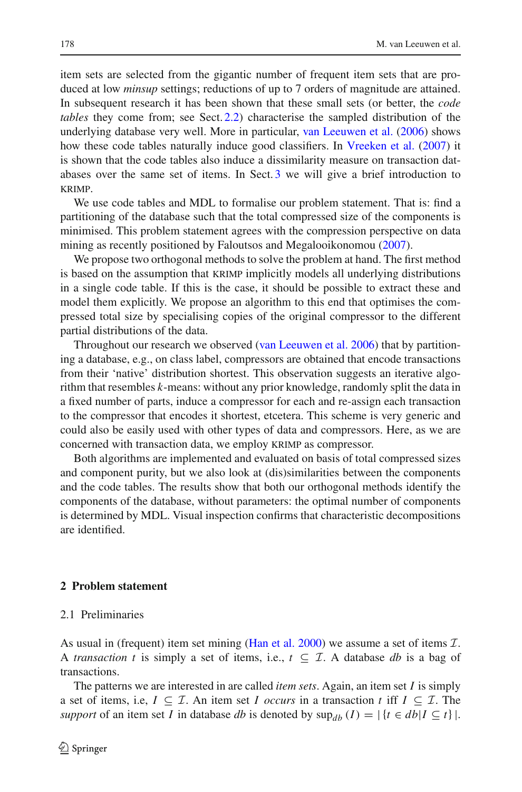item sets are selected from the gigantic number of frequent item sets that are produced at low *minsup* settings; reductions of up to 7 orders of magnitude are attained. In subsequent research it has been shown that these small sets (or better, the *code tables* they come from; see Sect. [2.2\)](#page-3-0) characterise the sampled distribution of the underlying database very well. More in particular, [van Leeuwen et al.](#page-17-4) [\(2006](#page-17-4)) shows how these code tables naturally induce good classifiers. In [Vreeken et al.](#page-17-5) [\(2007\)](#page-17-5) it is shown that the code tables also induce a dissimilarity measure on transaction databases over the same set of items. In Sect. [3](#page-5-0) we will give a brief introduction to krimp.

We use code tables and MDL to formalise our problem statement. That is: find a partitioning of the database such that the total compressed size of the components is minimised. This problem statement agrees with the compression perspective on data mining as recently positioned by Faloutsos and Megalooikonomou [\(2007](#page-16-1)).

We propose two orthogonal methods to solve the problem at hand. The first method is based on the assumption that krimp implicitly models all underlying distributions in a single code table. If this is the case, it should be possible to extract these and model them explicitly. We propose an algorithm to this end that optimises the compressed total size by specialising copies of the original compressor to the different partial distributions of the data.

Throughout our research we observed [\(van Leeuwen et al. 2006](#page-17-4)) that by partitioning a database, e.g., on class label, compressors are obtained that encode transactions from their 'native' distribution shortest. This observation suggests an iterative algorithm that resembles *k*-means: without any prior knowledge, randomly split the data in a fixed number of parts, induce a compressor for each and re-assign each transaction to the compressor that encodes it shortest, etcetera. This scheme is very generic and could also be easily used with other types of data and compressors. Here, as we are concerned with transaction data, we employ krimp as compressor.

Both algorithms are implemented and evaluated on basis of total compressed sizes and component purity, but we also look at (dis)similarities between the components and the code tables. The results show that both our orthogonal methods identify the components of the database, without parameters: the optimal number of components is determined by MDL. Visual inspection confirms that characteristic decompositions are identified.

## **2 Problem statement**

#### 2.1 Preliminaries

As usual in (frequent) item set mining [\(Han et al. 2000\)](#page-16-2) we assume a set of items *I*. A *transaction t* is simply a set of items, i.e.,  $t \subseteq \mathcal{I}$ . A database *db* is a bag of transactions.

The patterns we are interested in are called *item sets*. Again, an item set *I* is simply a set of items, i.e,  $I \subseteq I$ . An item set *I occurs* in a transaction *t* iff  $I \subseteq I$ . The *support* of an item set *I* in database *db* is denoted by  $\sup_{d} (I) = |\{t \in db | I \subseteq t\}|$ .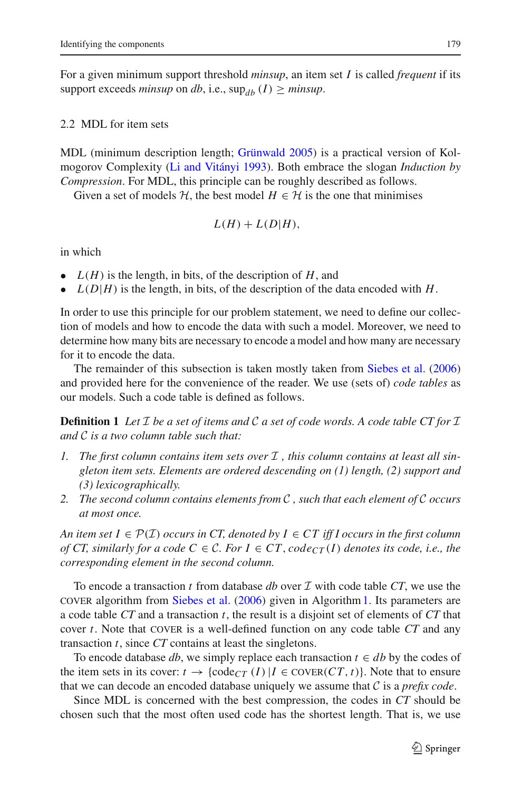For a given minimum support threshold *minsup*, an item set *I* is called *frequent* if its support exceeds *minsup* on *db*, i.e.,  $\sup_{d} (I) \geq minsup$ .

# <span id="page-3-0"></span>2.2 MDL for item sets

MDL (minimum description length; [Grünwald 2005\)](#page-16-3) is a practical version of Kolmogorov Complexity [\(Li and Vitányi 1993\)](#page-16-4). Both embrace the slogan *Induction by Compression*. For MDL, this principle can be roughly described as follows.

Given a set of models  $H$ , the best model  $H \in \mathcal{H}$  is the one that minimises

$$
L(H) + L(D|H),
$$

in which

- $L(H)$  is the length, in bits, of the description of  $H$ , and
- $L(D|H)$  is the length, in bits, of the description of the data encoded with  $H$ .

In order to use this principle for our problem statement, we need to define our collection of models and how to encode the data with such a model. Moreover, we need to determine how many bits are necessary to encode a model and how many are necessary for it to encode the data.

The remainder of this subsection is taken mostly taken from [Siebes et al.](#page-17-3) [\(2006\)](#page-17-3) and provided here for the convenience of the reader. We use (sets of) *code tables* as our models. Such a code table is defined as follows.

**Definition 1** *Let I be a set of items and C a set of code words. A code table CT for I and C is a two column table such that:*

- *1. The first column contains item sets over I , this column contains at least all singleton item sets. Elements are ordered descending on (1) length, (2) support and (3) lexicographically.*
- *2. The second column contains elements from C , such that each element of C occurs at most once.*

*An item set*  $I \in \mathcal{P}(\mathcal{I})$  *occurs in CT, denoted by*  $I \in \mathcal{C}T$  *iff I occurs in the first column of CT, similarly for a code C*  $\in$  *C. For I*  $\in$  *CT, code* $_{CT}(I)$  *denotes its code, i.e., the corresponding element in the second column.*

To encode a transaction *t* from database *db* over *I* with code table *CT*, we use the cover algorithm from [Siebes et al.](#page-17-3) [\(2006\)](#page-17-3) given in Algorith[m1.](#page-4-0) Its parameters are a code table *CT* and a transaction *t*, the result is a disjoint set of elements of *CT* that cover *t*. Note that cover is a well-defined function on any code table *CT* and any transaction *t*, since *CT* contains at least the singletons.

To encode database *db*, we simply replace each transaction  $t \in db$  by the codes of the item sets in its cover:  $t \to \{\text{code}_{CT}(I) | I \in \text{Cover}(CT, t)\}\)$ . Note that to ensure that we can decode an encoded database uniquely we assume that *C* is a *prefix code*.

Since MDL is concerned with the best compression, the codes in *CT* should be chosen such that the most often used code has the shortest length. That is, we use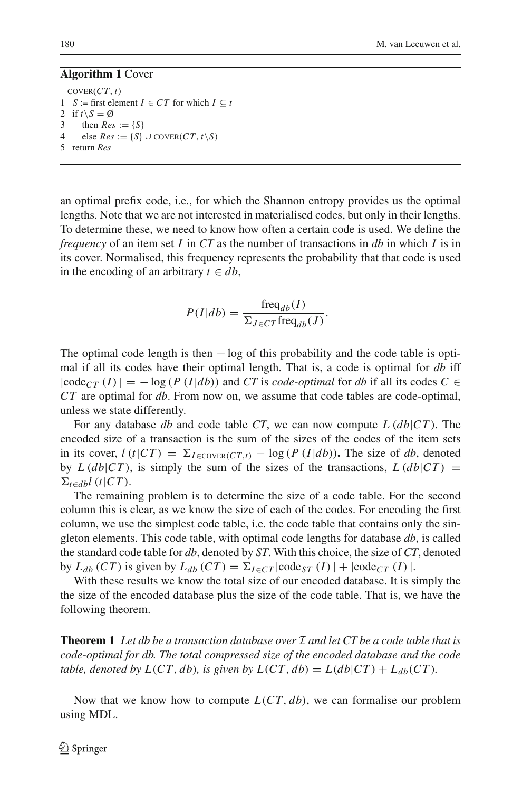#### **Algorithm 1** Cover

 $Cover(CT, t)$ 1 *S* := first element *I*  $\in$  *CT* for which *I*  $\subseteq$  *t* 2 if  $t \setminus S = \emptyset$ 3 then  $Res := \{S\}$ 4 else  $Res := \{S\} \cup \text{CoverR}(CT, t \setminus S)$ 5 return *Res*

<span id="page-4-0"></span>an optimal prefix code, i.e., for which the Shannon entropy provides us the optimal lengths. Note that we are not interested in materialised codes, but only in their lengths. To determine these, we need to know how often a certain code is used. We define the *frequency* of an item set *I* in *CT* as the number of transactions in *db* in which *I* is in its cover. Normalised, this frequency represents the probability that that code is used in the encoding of an arbitrary  $t \in db$ ,

$$
P(I|db) = \frac{\text{freq}_{db}(I)}{\Sigma_{J \in CT} \text{freq}_{db}(J)}.
$$

The optimal code length is then  $-\log$  of this probability and the code table is optimal if all its codes have their optimal length. That is, a code is optimal for *db* iff  $|code_{CT}(I)| = -log(P(I|db))$  and *CT* is *code-optimal* for *db* if all its codes  $C \in$ *CT* are optimal for *db*. From now on, we assume that code tables are code-optimal, unless we state differently.

For any database *db* and code table *CT*, we can now compute *L* (*db*|*CT* ). The encoded size of a transaction is the sum of the sizes of the codes of the item sets in its cover,  $l(t|CT) = \sum_{I \in \text{Coker}(CT,t)} - \log(P(I|db))$ . The size of *db*, denoted by  $L (db|CT)$ , is simply the sum of the sizes of the transactions,  $L (db|CT) =$  $\Sigma_{t \in d}$ *bl* (*t*|*CT*).

The remaining problem is to determine the size of a code table. For the second column this is clear, as we know the size of each of the codes. For encoding the first column, we use the simplest code table, i.e. the code table that contains only the singleton elements. This code table, with optimal code lengths for database *db*, is called the standard code table for *db*, denoted by *ST*. With this choice, the size of *CT*, denoted by  $L_{db}$  (*CT*) is given by  $L_{db}$  (*CT*) =  $\Sigma_{I \in C}$  |code<sub>*ST*</sub> (*I*) | + |code<sub>*CT*</sub> (*I*) |.

With these results we know the total size of our encoded database. It is simply the the size of the encoded database plus the size of the code table. That is, we have the following theorem.

**Theorem 1** *Let db be a transaction database over I and let CT be a code table that is code-optimal for db. The total compressed size of the encoded database and the code table, denoted by L(CT, db), is given by*  $L(CT, db) = L(db|CT) + L_{db}(CT)$ *.* 

Now that we know how to compute *L*(*CT*, *db*), we can formalise our problem using MDL.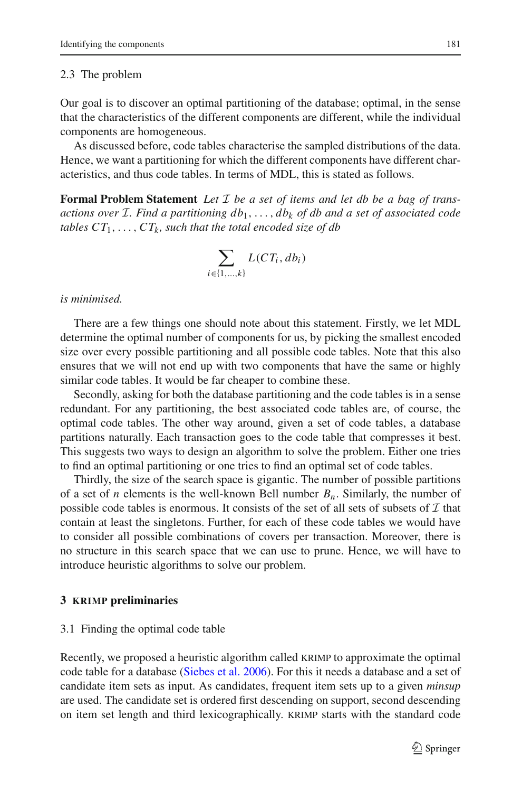#### 2.3 The problem

Our goal is to discover an optimal partitioning of the database; optimal, in the sense that the characteristics of the different components are different, while the individual components are homogeneous.

As discussed before, code tables characterise the sampled distributions of the data. Hence, we want a partitioning for which the different components have different characteristics, and thus code tables. In terms of MDL, this is stated as follows.

**Formal Problem Statement** *Let I be a set of items and let db be a bag of transactions over*  $I$ *. Find a partitioning*  $db_1, \ldots, db_k$  *of db and a set of associated code tables*  $CT_1, \ldots, CT_k$ , such that the total encoded size of db

$$
\sum_{i\in\{1,\ldots,k\}} L(CT_i, db_i)
$$

*is minimised.*

There are a few things one should note about this statement. Firstly, we let MDL determine the optimal number of components for us, by picking the smallest encoded size over every possible partitioning and all possible code tables. Note that this also ensures that we will not end up with two components that have the same or highly similar code tables. It would be far cheaper to combine these.

Secondly, asking for both the database partitioning and the code tables is in a sense redundant. For any partitioning, the best associated code tables are, of course, the optimal code tables. The other way around, given a set of code tables, a database partitions naturally. Each transaction goes to the code table that compresses it best. This suggests two ways to design an algorithm to solve the problem. Either one tries to find an optimal partitioning or one tries to find an optimal set of code tables.

Thirdly, the size of the search space is gigantic. The number of possible partitions of a set of *n* elements is the well-known Bell number *Bn*. Similarly, the number of possible code tables is enormous. It consists of the set of all sets of subsets of *I* that contain at least the singletons. Further, for each of these code tables we would have to consider all possible combinations of covers per transaction. Moreover, there is no structure in this search space that we can use to prune. Hence, we will have to introduce heuristic algorithms to solve our problem.

#### <span id="page-5-0"></span>**3 KRIMP preliminaries**

## 3.1 Finding the optimal code table

Recently, we proposed a heuristic algorithm called krimp to approximate the optimal code table for a database [\(Siebes et al. 2006\)](#page-17-3). For this it needs a database and a set of candidate item sets as input. As candidates, frequent item sets up to a given *minsup* are used. The candidate set is ordered first descending on support, second descending on item set length and third lexicographically. krimp starts with the standard code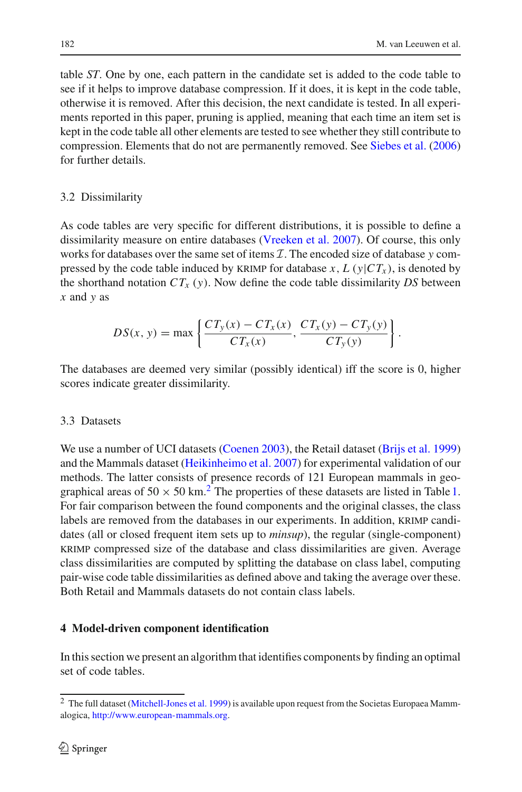table *ST*. One by one, each pattern in the candidate set is added to the code table to see if it helps to improve database compression. If it does, it is kept in the code table, otherwise it is removed. After this decision, the next candidate is tested. In all experiments reported in this paper, pruning is applied, meaning that each time an item set is kept in the code table all other elements are tested to see whether they still contribute to compression. Elements that do not are permanently removed. See [Siebes et al.](#page-17-3) [\(2006\)](#page-17-3) for further details.

# 3.2 Dissimilarity

As code tables are very specific for different distributions, it is possible to define a dissimilarity measure on entire databases [\(Vreeken et al. 2007](#page-17-5)). Of course, this only works for databases over the same set of items *I*. The encoded size of database *y* compressed by the code table induced by KRIMP for database *x*,  $L(y|CT_x)$ , is denoted by the shorthand notation  $CT_x(y)$ . Now define the code table dissimilarity *DS* between *x* and *y* as

$$
DS(x, y) = \max \left\{ \frac{CT_y(x) - CT_x(x)}{CT_x(x)}, \frac{CT_x(y) - CT_y(y)}{CT_y(y)} \right\}.
$$

The databases are deemed very similar (possibly identical) iff the score is 0, higher scores indicate greater dissimilarity.

# 3.3 Datasets

We use a number of UCI datasets [\(Coenen 2003](#page-16-5)), the Retail dataset [\(Brijs et al. 1999\)](#page-16-6) and the Mammals dataset [\(Heikinheimo et al. 2007](#page-16-7)) for experimental validation of our methods. The latter consists of presence records of 121 European mammals in geographical areas of  $50 \times 50$  km.<sup>[2](#page-6-0)</sup> The properties of these datasets are listed in Table [1.](#page-8-0) For fair comparison between the found components and the original classes, the class labels are removed from the databases in our experiments. In addition, krimp candidates (all or closed frequent item sets up to *minsup*), the regular (single-component) krimp compressed size of the database and class dissimilarities are given. Average class dissimilarities are computed by splitting the database on class label, computing pair-wise code table dissimilarities as defined above and taking the average over these. Both Retail and Mammals datasets do not contain class labels.

# **4 Model-driven component identification**

In this section we present an algorithm that identifies components by finding an optimal set of code tables.

<span id="page-6-0"></span><sup>&</sup>lt;sup>2</sup> The full dataset [\(Mitchell-Jones et al. 1999\)](#page-17-6) is available upon request from the Societas Europaea Mammalogica, [http://www.european-mammals.org.](http://www.european-mammals.org)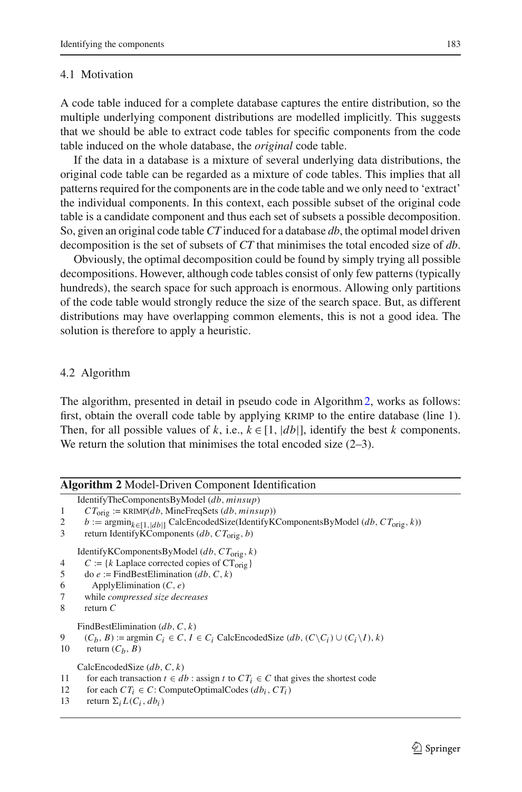# 4.1 Motivation

A code table induced for a complete database captures the entire distribution, so the multiple underlying component distributions are modelled implicitly. This suggests that we should be able to extract code tables for specific components from the code table induced on the whole database, the *original* code table.

If the data in a database is a mixture of several underlying data distributions, the original code table can be regarded as a mixture of code tables. This implies that all patterns required for the components are in the code table and we only need to 'extract' the individual components. In this context, each possible subset of the original code table is a candidate component and thus each set of subsets a possible decomposition. So, given an original code table*CT* induced for a database *db*, the optimal model driven decomposition is the set of subsets of *CT* that minimises the total encoded size of *db*.

Obviously, the optimal decomposition could be found by simply trying all possible decompositions. However, although code tables consist of only few patterns (typically hundreds), the search space for such approach is enormous. Allowing only partitions of the code table would strongly reduce the size of the search space. But, as different distributions may have overlapping common elements, this is not a good idea. The solution is therefore to apply a heuristic.

# 4.2 Algorithm

The algorithm, presented in detail in pseudo code in Algorithm[2,](#page-7-0) works as follows: first, obtain the overall code table by applying krimp to the entire database (line 1). Then, for all possible values of *k*, i.e.,  $k \in [1, |db|]$ , identify the best *k* components. We return the solution that minimises the total encoded size  $(2-3)$ .

| <b>Algorithm 2</b> Model-Driven Component Identification                                                           |
|--------------------------------------------------------------------------------------------------------------------|
| IdentifyTheComponentsByModel $(db, minusup)$                                                                       |
| $CT_{\text{orig}}$ := KRIMP( <i>db</i> , MineFreqSets ( <i>db</i> , <i>minsup</i> ))                               |
| $b := \text{argmin}_{k \in [1,  db ]}$ CalcEncodedSize(Identify KComponents By Model (db, $CT_{\text{orig}}$ , k)) |
| return Identify KComponents (db, $CT_{\text{orig}}$ , b)                                                           |
| Identify KComponents By Model ( <i>db</i> , $CT_{\text{orig}}$ , <i>k</i> )                                        |
| $C := \{k \text{ Laplace corrected copies of } CT_{\text{orig}}\}$                                                 |
| do e := FindBestElimination (db, C, k)                                                                             |
| ApplyElimination $(C, e)$                                                                                          |
| while compressed size decreases                                                                                    |
| return $C$                                                                                                         |
| FindBestElimination $(db, C, k)$                                                                                   |
| $(C_b, B)$ := argmin $C_i \in C$ , $I \in C_i$ CalcEncodedSize $(db, (C \ C_i) \cup (C_i \ Y), k)$                 |
| return $(C_h, B)$                                                                                                  |
| CalcEncodedSize $(db, C, k)$                                                                                       |
| for each transaction $t \in db$ : assign t to $CT_i \in C$ that gives the shortest code                            |
| for each $CT_i \in C$ : ComputeOptimalCodes $(db_i, CT_i)$                                                         |
|                                                                                                                    |

<span id="page-7-0"></span>13 return  $\Sigma_i L(C_i, db_i)$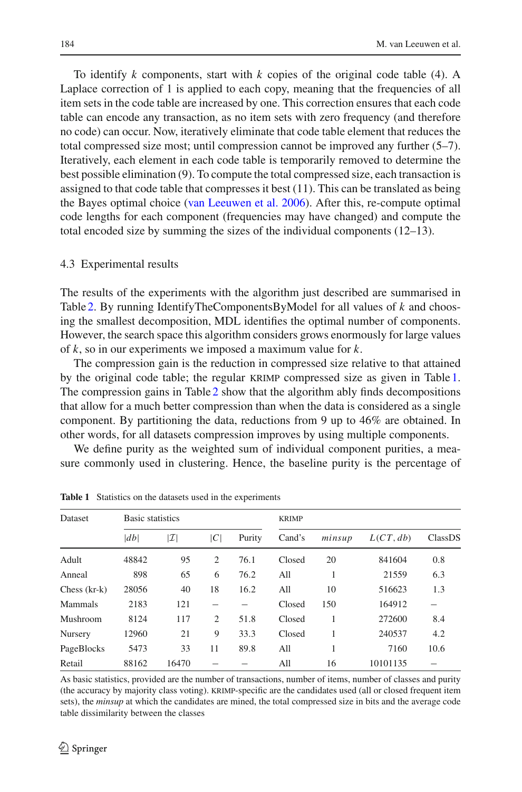To identify *k* components, start with *k* copies of the original code table (4). A Laplace correction of 1 is applied to each copy, meaning that the frequencies of all item sets in the code table are increased by one. This correction ensures that each code table can encode any transaction, as no item sets with zero frequency (and therefore no code) can occur. Now, iteratively eliminate that code table element that reduces the total compressed size most; until compression cannot be improved any further (5–7). Iteratively, each element in each code table is temporarily removed to determine the best possible elimination (9). To compute the total compressed size, each transaction is assigned to that code table that compresses it best (11). This can be translated as being the Bayes optimal choice [\(van Leeuwen et al. 2006](#page-17-4)). After this, re-compute optimal code lengths for each component (frequencies may have changed) and compute the total encoded size by summing the sizes of the individual components (12–13).

#### 4.3 Experimental results

The results of the experiments with the algorithm just described are summarised in Table [2.](#page-9-0) By running IdentifyTheComponentsByModel for all values of *k* and choosing the smallest decomposition, MDL identifies the optimal number of components. However, the search space this algorithm considers grows enormously for large values of *k*, so in our experiments we imposed a maximum value for *k*.

The compression gain is the reduction in compressed size relative to that attained by the original code table; the regular krimp compressed size as given in Table [1.](#page-8-0) The compression gains in Table [2](#page-9-0) show that the algorithm ably finds decompositions that allow for a much better compression than when the data is considered as a single component. By partitioning the data, reductions from 9 up to 46% are obtained. In other words, for all datasets compression improves by using multiple components.

We define purity as the weighted sum of individual component purities, a measure commonly used in clustering. Hence, the baseline purity is the percentage of

| <b>Dataset</b> | <b>Basic statistics</b> |                 |    |        | <b>KRIMP</b> |        |           |                     |
|----------------|-------------------------|-----------------|----|--------|--------------|--------|-----------|---------------------|
|                | db                      | $ \mathcal{I} $ | C  | Purity | Cand's       | minsup | L(CT, db) | Class <sub>DS</sub> |
| Adult          | 48842                   | 95              | 2  | 76.1   | Closed       | 20     | 841604    | 0.8                 |
| Anneal         | 898                     | 65              | 6  | 76.2   | All          |        | 21559     | 6.3                 |
| Chess $(kr-k)$ | 28056                   | 40              | 18 | 16.2   | A11          | 10     | 516623    | 1.3                 |
| Mammals        | 2183                    | 121             |    |        | Closed       | 150    | 164912    |                     |
| Mushroom       | 8124                    | 117             | 2  | 51.8   | Closed       |        | 272600    | 8.4                 |
| Nursery        | 12960                   | 21              | 9  | 33.3   | Closed       |        | 240537    | 4.2                 |
| PageBlocks     | 5473                    | 33              | 11 | 89.8   | All          |        | 7160      | 10.6                |
| Retail         | 88162                   | 16470           |    |        | All          | 16     | 10101135  |                     |

<span id="page-8-0"></span>**Table 1** Statistics on the datasets used in the experiments

As basic statistics, provided are the number of transactions, number of items, number of classes and purity (the accuracy by majority class voting). krimp-specific are the candidates used (all or closed frequent item sets), the *minsup* at which the candidates are mined, the total compressed size in bits and the average code table dissimilarity between the classes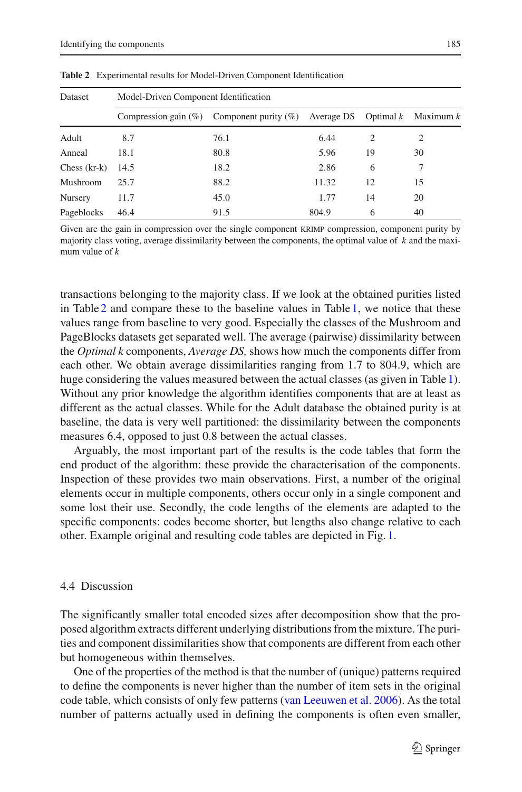| <b>Dataset</b> | Model-Driven Component Identification |                          |            |    |                         |  |  |  |
|----------------|---------------------------------------|--------------------------|------------|----|-------------------------|--|--|--|
|                | Compression gain $(\% )$              | Component purity $(\% )$ | Average DS |    | Optimal $k$ Maximum $k$ |  |  |  |
| Adult          | 8.7                                   | 76.1                     | 6.44       | 2  | 2                       |  |  |  |
| Anneal         | 18.1                                  | 80.8                     | 5.96       | 19 | 30                      |  |  |  |
| $Chess (kr-k)$ | 14.5                                  | 18.2                     | 2.86       | 6  | 7                       |  |  |  |
| Mushroom       | 25.7                                  | 88.2                     | 11.32      | 12 | 15                      |  |  |  |
| Nursery        | 11.7                                  | 45.0                     | 1.77       | 14 | 20                      |  |  |  |
| Pageblocks     | 46.4                                  | 91.5                     | 804.9      | 6  | 40                      |  |  |  |

<span id="page-9-0"></span>**Table 2** Experimental results for Model-Driven Component Identification

Given are the gain in compression over the single component krimp compression, component purity by majority class voting, average dissimilarity between the components, the optimal value of *k* and the maximum value of *k*

transactions belonging to the majority class. If we look at the obtained purities listed in Table [2](#page-9-0) and compare these to the baseline values in Table [1,](#page-8-0) we notice that these values range from baseline to very good. Especially the classes of the Mushroom and PageBlocks datasets get separated well. The average (pairwise) dissimilarity between the *Optimal k* components, *Average DS,* shows how much the components differ from each other. We obtain average dissimilarities ranging from 1.7 to 804.9, which are huge considering the values measured between the actual classes (as given in Table [1\)](#page-8-0). Without any prior knowledge the algorithm identifies components that are at least as different as the actual classes. While for the Adult database the obtained purity is at baseline, the data is very well partitioned: the dissimilarity between the components measures 6.4, opposed to just 0.8 between the actual classes.

Arguably, the most important part of the results is the code tables that form the end product of the algorithm: these provide the characterisation of the components. Inspection of these provides two main observations. First, a number of the original elements occur in multiple components, others occur only in a single component and some lost their use. Secondly, the code lengths of the elements are adapted to the specific components: codes become shorter, but lengths also change relative to each other. Example original and resulting code tables are depicted in Fig. [1.](#page-10-0)

## 4.4 Discussion

The significantly smaller total encoded sizes after decomposition show that the proposed algorithm extracts different underlying distributions from the mixture. The purities and component dissimilarities show that components are different from each other but homogeneous within themselves.

One of the properties of the method is that the number of (unique) patterns required to define the components is never higher than the number of item sets in the original code table, which consists of only few patterns [\(van Leeuwen et al. 2006](#page-17-4)). As the total number of patterns actually used in defining the components is often even smaller,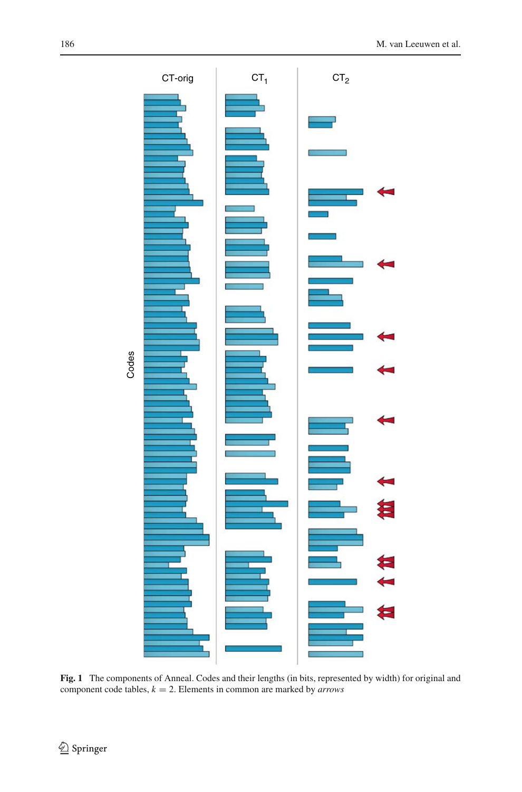

<span id="page-10-0"></span>**Fig. 1** The components of Anneal. Codes and their lengths (in bits, represented by width) for original and component code tables,  $k = 2$ . Elements in common are marked by *arrows*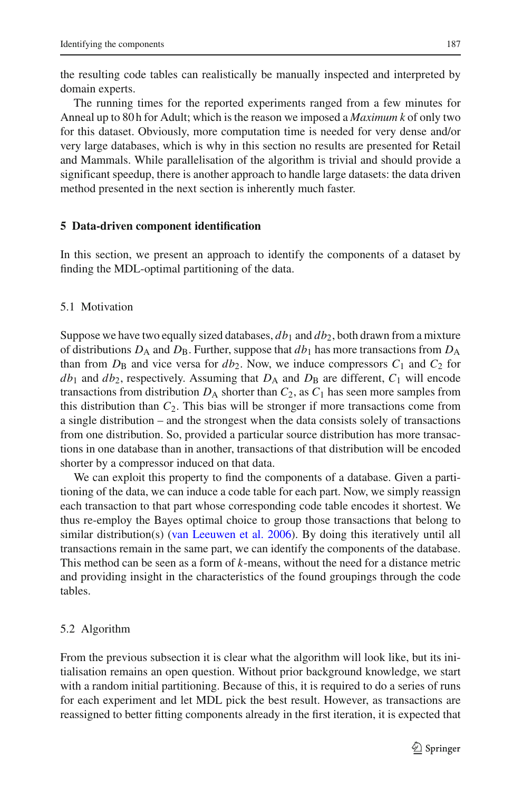the resulting code tables can realistically be manually inspected and interpreted by domain experts.

The running times for the reported experiments ranged from a few minutes for Anneal up to 80 h for Adult; which is the reason we imposed a *Maximum k* of only two for this dataset. Obviously, more computation time is needed for very dense and/or very large databases, which is why in this section no results are presented for Retail and Mammals. While parallelisation of the algorithm is trivial and should provide a significant speedup, there is another approach to handle large datasets: the data driven method presented in the next section is inherently much faster.

## **5 Data-driven component identification**

In this section, we present an approach to identify the components of a dataset by finding the MDL-optimal partitioning of the data.

#### 5.1 Motivation

Suppose we have two equally sized databases,  $db_1$  and  $db_2$ , both drawn from a mixture of distributions  $D_A$  and  $D_B$ . Further, suppose that  $db_1$  has more transactions from  $D_A$ than from  $D_B$  and vice versa for  $db_2$ . Now, we induce compressors  $C_1$  and  $C_2$  for  $db_1$  and  $db_2$ , respectively. Assuming that  $D_A$  and  $D_B$  are different,  $C_1$  will encode transactions from distribution  $D_A$  shorter than  $C_2$ , as  $C_1$  has seen more samples from this distribution than  $C_2$ . This bias will be stronger if more transactions come from a single distribution – and the strongest when the data consists solely of transactions from one distribution. So, provided a particular source distribution has more transactions in one database than in another, transactions of that distribution will be encoded shorter by a compressor induced on that data.

We can exploit this property to find the components of a database. Given a partitioning of the data, we can induce a code table for each part. Now, we simply reassign each transaction to that part whose corresponding code table encodes it shortest. We thus re-employ the Bayes optimal choice to group those transactions that belong to similar distribution(s) [\(van Leeuwen et al. 2006](#page-17-4)). By doing this iteratively until all transactions remain in the same part, we can identify the components of the database. This method can be seen as a form of *k*-means, without the need for a distance metric and providing insight in the characteristics of the found groupings through the code tables.

## 5.2 Algorithm

From the previous subsection it is clear what the algorithm will look like, but its initialisation remains an open question. Without prior background knowledge, we start with a random initial partitioning. Because of this, it is required to do a series of runs for each experiment and let MDL pick the best result. However, as transactions are reassigned to better fitting components already in the first iteration, it is expected that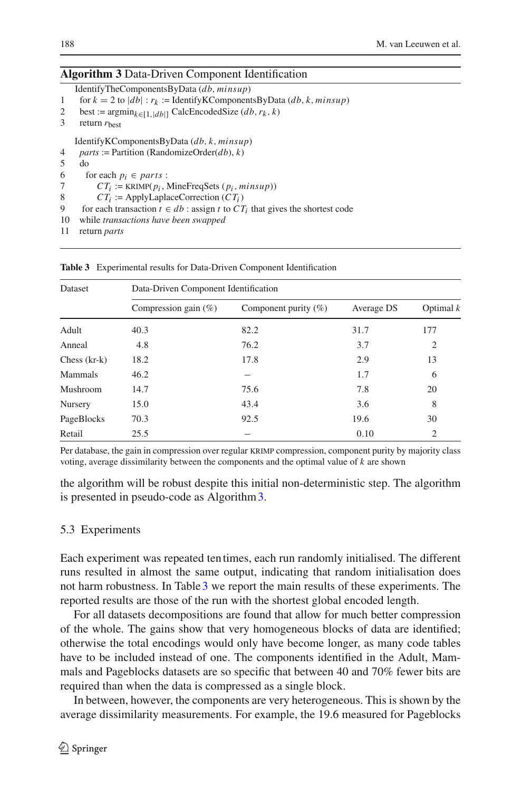#### **Algorithm 3** Data-Driven Component Identification

IdentifyTheComponentsByData (*db*, *minsup*) 1 for  $k = 2$  to  $|db|$ :  $r_k$ := IdentifyKComponentsByData (*db*, *k*, *minsup*)<br>2 best:= argmin<sub>t-5</sub>(*i*, *i*, *y*) CalcEncodedSize (*db, r<sub>i</sub>, k*) 2 best :=  $\operatorname{argmin}_{k \in [1,|db|]} \operatorname{CalcEncode}(\text{disc}(db, r_k, k))$ return  $r_{\text{best}}$ IdentifyKComponentsByData (*db*, *k*, *minsup*) 4 *parts* := Partition (RandomizeOrder(*db*), *k*) 5 do 6 for each  $p_i \in parts$  :<br>7  $CT_i := \text{KRMP}(n_i)$ 7  $CT_i := \text{KRIMP}(p_i, \text{MineFreqSets}(p_i, \text{minsup}))$ <br>8  $CT_i := \text{AnnivI}\text{ and}\text{seeCorrection}(CT_i)$ 8  $CT_i := \text{ApplyLaplaceCorrection} (CT_i)$ <br>9 for each transaction  $t \in db$ : assign t to C<sub>1</sub> for each transaction  $t \in db$  : assign  $t$  to  $CT_i$  that gives the shortest code 10 while *transactions have been swapped*

<span id="page-12-0"></span>11 return *parts*

| Dataset        | Data-Driven Component Identification |                          |            |                |  |  |  |  |
|----------------|--------------------------------------|--------------------------|------------|----------------|--|--|--|--|
|                | Compression gain $(\%)$              | Component purity $(\% )$ | Average DS | Optimal $k$    |  |  |  |  |
| Adult          | 40.3                                 | 82.2                     | 31.7       | 177            |  |  |  |  |
| Anneal         | 4.8                                  | 76.2                     | 3.7        | $\overline{c}$ |  |  |  |  |
| $Chess (kr-k)$ | 18.2                                 | 17.8                     | 2.9        | 13             |  |  |  |  |
| Mammals        | 46.2                                 |                          | 1.7        | 6              |  |  |  |  |
| Mushroom       | 14.7                                 | 75.6                     | 7.8        | 20             |  |  |  |  |
| Nursery        | 15.0                                 | 43.4                     | 3.6        | 8              |  |  |  |  |
| PageBlocks     | 70.3                                 | 92.5                     | 19.6       | 30             |  |  |  |  |
| Retail         | 25.5                                 |                          | 0.10       | $\overline{2}$ |  |  |  |  |

<span id="page-12-1"></span>**Table 3** Experimental results for Data-Driven Component Identification

Per database, the gain in compression over regular krimp compression, component purity by majority class voting, average dissimilarity between the components and the optimal value of *k* are shown

the algorithm will be robust despite this initial non-deterministic step. The algorithm is presented in pseudo-code as Algorithm[3.](#page-12-0)

# 5.3 Experiments

Each experiment was repeated tentimes, each run randomly initialised. The different runs resulted in almost the same output, indicating that random initialisation does not harm robustness. In Table [3](#page-12-1) we report the main results of these experiments. The reported results are those of the run with the shortest global encoded length.

For all datasets decompositions are found that allow for much better compression of the whole. The gains show that very homogeneous blocks of data are identified; otherwise the total encodings would only have become longer, as many code tables have to be included instead of one. The components identified in the Adult, Mammals and Pageblocks datasets are so specific that between 40 and 70% fewer bits are required than when the data is compressed as a single block.

In between, however, the components are very heterogeneous. This is shown by the average dissimilarity measurements. For example, the 19.6 measured for Pageblocks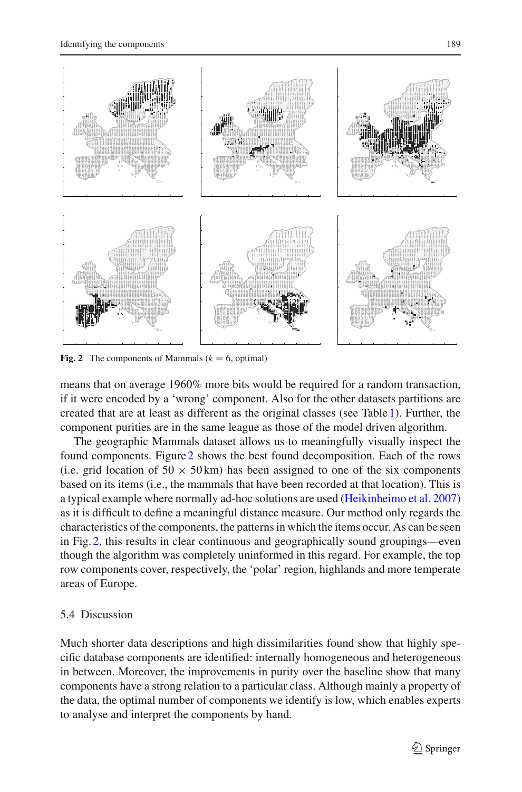

<span id="page-13-0"></span>**Fig. 2** The components of Mammals ( $k = 6$ , optimal)

means that on average 1960% more bits would be required for a random transaction, if it were encoded by a 'wrong' component. Also for the other datasets partitions are created that are at least as different as the original classes (see Table [1\)](#page-8-0). Further, the component purities are in the same league as those of the model driven algorithm.

The geographic Mammals dataset allows us to meaningfully visually inspect the found components. Figure [2](#page-13-0) shows the best found decomposition. Each of the rows (i.e. grid location of  $50 \times 50 \text{ km}$ ) has been assigned to one of the six components based on its items (i.e., the mammals that have been recorded at that location). This is a typical example where normally ad-hoc solutions are used [\(Heikinheimo et al. 2007\)](#page-16-7) as it is difficult to define a meaningful distance measure. Our method only regards the characteristics of the components, the patterns in which the items occur. As can be seen in Fig. [2,](#page-13-0) this results in clear continuous and geographically sound groupings—even though the algorithm was completely uninformed in this regard. For example, the top row components cover, respectively, the 'polar' region, highlands and more temperate areas of Europe.

# 5.4 Discussion

Much shorter data descriptions and high dissimilarities found show that highly specific database components are identified: internally homogeneous and heterogeneous in between. Moreover, the improvements in purity over the baseline show that many components have a strong relation to a particular class. Although mainly a property of the data, the optimal number of components we identify is low, which enables experts to analyse and interpret the components by hand.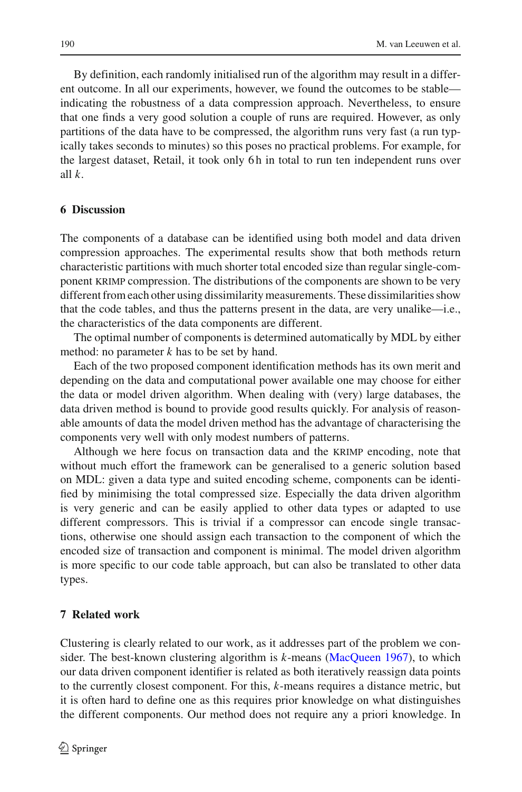By definition, each randomly initialised run of the algorithm may result in a different outcome. In all our experiments, however, we found the outcomes to be stable indicating the robustness of a data compression approach. Nevertheless, to ensure that one finds a very good solution a couple of runs are required. However, as only partitions of the data have to be compressed, the algorithm runs very fast (a run typically takes seconds to minutes) so this poses no practical problems. For example, for the largest dataset, Retail, it took only 6 h in total to run ten independent runs over all *k*.

#### **6 Discussion**

The components of a database can be identified using both model and data driven compression approaches. The experimental results show that both methods return characteristic partitions with much shorter total encoded size than regular single-component krimp compression. The distributions of the components are shown to be very different from each other using dissimilarity measurements. These dissimilarities show that the code tables, and thus the patterns present in the data, are very unalike—i.e., the characteristics of the data components are different.

The optimal number of components is determined automatically by MDL by either method: no parameter *k* has to be set by hand.

Each of the two proposed component identification methods has its own merit and depending on the data and computational power available one may choose for either the data or model driven algorithm. When dealing with (very) large databases, the data driven method is bound to provide good results quickly. For analysis of reasonable amounts of data the model driven method has the advantage of characterising the components very well with only modest numbers of patterns.

Although we here focus on transaction data and the krimp encoding, note that without much effort the framework can be generalised to a generic solution based on MDL: given a data type and suited encoding scheme, components can be identified by minimising the total compressed size. Especially the data driven algorithm is very generic and can be easily applied to other data types or adapted to use different compressors. This is trivial if a compressor can encode single transactions, otherwise one should assign each transaction to the component of which the encoded size of transaction and component is minimal. The model driven algorithm is more specific to our code table approach, but can also be translated to other data types.

#### **7 Related work**

Clustering is clearly related to our work, as it addresses part of the problem we consider. The best-known clustering algorithm is *k*-means [\(MacQueen 1967\)](#page-17-1), to which our data driven component identifier is related as both iteratively reassign data points to the currently closest component. For this, *k*-means requires a distance metric, but it is often hard to define one as this requires prior knowledge on what distinguishes the different components. Our method does not require any a priori knowledge. In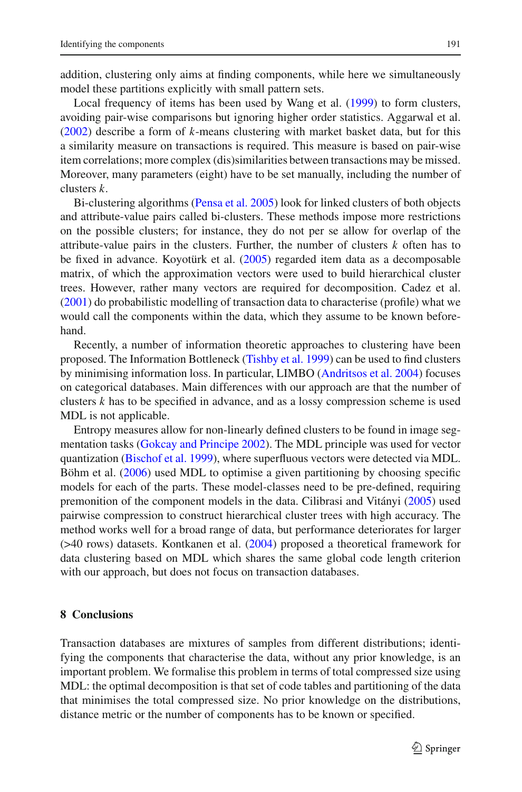addition, clustering only aims at finding components, while here we simultaneously model these partitions explicitly with small pattern sets.

Local frequency of items has been used by Wang et al. [\(1999\)](#page-17-7) to form clusters, avoiding pair-wise comparisons but ignoring higher order statistics. Aggarwal et al. [\(2002\)](#page-16-8) describe a form of *k*-means clustering with market basket data, but for this a similarity measure on transactions is required. This measure is based on pair-wise item correlations; more complex (dis)similarities between transactions may be missed. Moreover, many parameters (eight) have to be set manually, including the number of clusters *k*.

Bi-clustering algorithms [\(Pensa et al. 2005\)](#page-17-2) look for linked clusters of both objects and attribute-value pairs called bi-clusters. These methods impose more restrictions on the possible clusters; for instance, they do not per se allow for overlap of the attribute-value pairs in the clusters. Further, the number of clusters *k* often has to be fixed in advance. Koyotürk et al. [\(2005](#page-16-9)) regarded item data as a decomposable matrix, of which the approximation vectors were used to build hierarchical cluster trees. However, rather many vectors are required for decomposition. Cadez et al. [\(2001\)](#page-16-10) do probabilistic modelling of transaction data to characterise (profile) what we would call the components within the data, which they assume to be known beforehand.

Recently, a number of information theoretic approaches to clustering have been proposed. The Information Bottleneck [\(Tishby et al. 1999](#page-17-8)) can be used to find clusters by minimising information loss. In particular, LIMBO [\(Andritsos et al. 2004\)](#page-16-11) focuses on categorical databases. Main differences with our approach are that the number of clusters *k* has to be specified in advance, and as a lossy compression scheme is used MDL is not applicable.

Entropy measures allow for non-linearly defined clusters to be found in image segmentation tasks [\(Gokcay and Principe 2002\)](#page-16-12). The MDL principle was used for vector quantization [\(Bischof et al. 1999](#page-16-13)), where superfluous vectors were detected via MDL. Böhm et al. [\(2006\)](#page-16-14) used MDL to optimise a given partitioning by choosing specific models for each of the parts. These model-classes need to be pre-defined, requiring premonition of the component models in the data. Cilibrasi and Vitányi [\(2005\)](#page-16-15) used pairwise compression to construct hierarchical cluster trees with high accuracy. The method works well for a broad range of data, but performance deteriorates for larger (>40 rows) datasets. Kontkanen et al. [\(2004\)](#page-16-16) proposed a theoretical framework for data clustering based on MDL which shares the same global code length criterion with our approach, but does not focus on transaction databases.

#### **8 Conclusions**

Transaction databases are mixtures of samples from different distributions; identifying the components that characterise the data, without any prior knowledge, is an important problem. We formalise this problem in terms of total compressed size using MDL: the optimal decomposition is that set of code tables and partitioning of the data that minimises the total compressed size. No prior knowledge on the distributions, distance metric or the number of components has to be known or specified.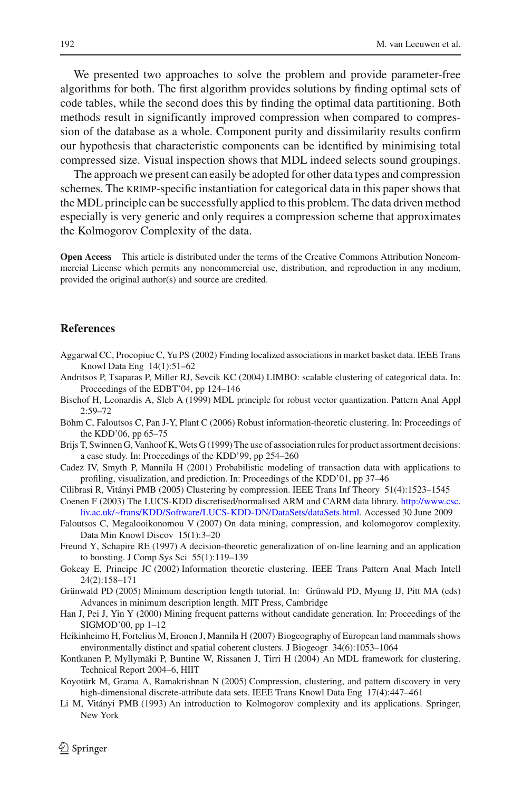We presented two approaches to solve the problem and provide parameter-free algorithms for both. The first algorithm provides solutions by finding optimal sets of code tables, while the second does this by finding the optimal data partitioning. Both methods result in significantly improved compression when compared to compression of the database as a whole. Component purity and dissimilarity results confirm our hypothesis that characteristic components can be identified by minimising total compressed size. Visual inspection shows that MDL indeed selects sound groupings.

The approach we present can easily be adopted for other data types and compression schemes. The krimp-specific instantiation for categorical data in this paper shows that the MDL principle can be successfully applied to this problem. The data driven method especially is very generic and only requires a compression scheme that approximates the Kolmogorov Complexity of the data.

**Open Access** This article is distributed under the terms of the Creative Commons Attribution Noncommercial License which permits any noncommercial use, distribution, and reproduction in any medium, provided the original author(s) and source are credited.

#### **References**

- <span id="page-16-8"></span>Aggarwal CC, Procopiuc C, Yu PS (2002) Finding localized associations in market basket data. IEEE Trans Knowl Data Eng 14(1):51–62
- <span id="page-16-11"></span>Andritsos P, Tsaparas P, Miller RJ, Sevcik KC (2004) LIMBO: scalable clustering of categorical data. In: Proceedings of the EDBT'04, pp 124–146
- <span id="page-16-13"></span>Bischof H, Leonardis A, Sleb A (1999) MDL principle for robust vector quantization. Pattern Anal Appl 2:59–72
- <span id="page-16-14"></span>Böhm C, Faloutsos C, Pan J-Y, Plant C (2006) Robust information-theoretic clustering. In: Proceedings of the KDD'06, pp 65–75
- <span id="page-16-6"></span>Brijs T, Swinnen G, Vanhoof K, Wets G (1999) The use of association rules for product assortment decisions: a case study. In: Proceedings of the KDD'99, pp 254–260
- <span id="page-16-10"></span>Cadez IV, Smyth P, Mannila H (2001) Probabilistic modeling of transaction data with applications to profiling, visualization, and prediction. In: Proceedings of the KDD'01, pp 37–46
- <span id="page-16-15"></span>Cilibrasi R, Vitányi PMB (2005) Clustering by compression. IEEE Trans Inf Theory 51(4):1523–1545
- <span id="page-16-5"></span>Coenen F (2003) The LUCS-KDD discretised/normalised ARM and CARM data library. [http://www.csc.](http://www.csc.liv.ac.uk/~frans/KDD/Software/LUCS-KDD-DN/DataSets/dataSets.html) [liv.ac.uk/~frans/KDD/Software/LUCS-KDD-DN/DataSets/dataSets.html.](http://www.csc.liv.ac.uk/~frans/KDD/Software/LUCS-KDD-DN/DataSets/dataSets.html) Accessed 30 June 2009
- <span id="page-16-1"></span>Faloutsos C, Megalooikonomou V (2007) On data mining, compression, and kolomogorov complexity. Data Min Knowl Discov 15(1):3–20
- <span id="page-16-0"></span>Freund Y, Schapire RE (1997) A decision-theoretic generalization of on-line learning and an application to boosting. J Comp Sys Sci 55(1):119–139
- <span id="page-16-12"></span>Gokcay E, Principe JC (2002) Information theoretic clustering. IEEE Trans Pattern Anal Mach Intell 24(2):158–171
- <span id="page-16-3"></span>Grünwald PD (2005) Minimum description length tutorial. In: Grünwald PD, Myung IJ, Pitt MA (eds) Advances in minimum description length. MIT Press, Cambridge
- <span id="page-16-2"></span>Han J, Pei J, Yin Y (2000) Mining frequent patterns without candidate generation. In: Proceedings of the SIGMOD'00, pp 1–12
- <span id="page-16-7"></span>Heikinheimo H, Fortelius M, Eronen J, Mannila H (2007) Biogeography of European land mammals shows environmentally distinct and spatial coherent clusters. J Biogeogr 34(6):1053–1064
- <span id="page-16-16"></span>Kontkanen P, Myllymäki P, Buntine W, Rissanen J, Tirri H (2004) An MDL framework for clustering. Technical Report 2004–6, HIIT
- <span id="page-16-9"></span>Koyotürk M, Grama A, Ramakrishnan N (2005) Compression, clustering, and pattern discovery in very high-dimensional discrete-attribute data sets. IEEE Trans Knowl Data Eng 17(4):447–461
- <span id="page-16-4"></span>Li M, Vitányi PMB (1993) An introduction to Kolmogorov complexity and its applications. Springer, New York